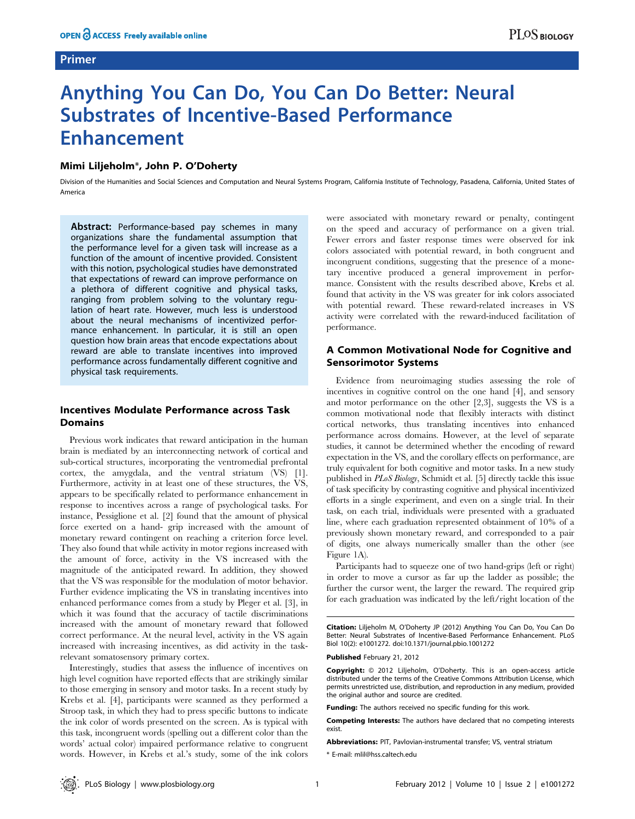## Primer

# Anything You Can Do, You Can Do Better: Neural Substrates of Incentive-Based Performance Enhancement

## Mimi Liljeholm\*, John P. O'Doherty

Division of the Humanities and Social Sciences and Computation and Neural Systems Program, California Institute of Technology, Pasadena, California, United States of America

Abstract: Performance-based pay schemes in many organizations share the fundamental assumption that the performance level for a given task will increase as a function of the amount of incentive provided. Consistent with this notion, psychological studies have demonstrated that expectations of reward can improve performance on a plethora of different cognitive and physical tasks, ranging from problem solving to the voluntary regulation of heart rate. However, much less is understood about the neural mechanisms of incentivized performance enhancement. In particular, it is still an open question how brain areas that encode expectations about reward are able to translate incentives into improved performance across fundamentally different cognitive and physical task requirements.

## Incentives Modulate Performance across Task Domains

Previous work indicates that reward anticipation in the human brain is mediated by an interconnecting network of cortical and sub-cortical structures, incorporating the ventromedial prefrontal cortex, the amygdala, and the ventral striatum (VS) [1]. Furthermore, activity in at least one of these structures, the VS, appears to be specifically related to performance enhancement in response to incentives across a range of psychological tasks. For instance, Pessiglione et al. [2] found that the amount of physical force exerted on a hand- grip increased with the amount of monetary reward contingent on reaching a criterion force level. They also found that while activity in motor regions increased with the amount of force, activity in the VS increased with the magnitude of the anticipated reward. In addition, they showed that the VS was responsible for the modulation of motor behavior. Further evidence implicating the VS in translating incentives into enhanced performance comes from a study by Pleger et al. [3], in which it was found that the accuracy of tactile discriminations increased with the amount of monetary reward that followed correct performance. At the neural level, activity in the VS again increased with increasing incentives, as did activity in the taskrelevant somatosensory primary cortex.

Interestingly, studies that assess the influence of incentives on high level cognition have reported effects that are strikingly similar to those emerging in sensory and motor tasks. In a recent study by Krebs et al. [4], participants were scanned as they performed a Stroop task, in which they had to press specific buttons to indicate the ink color of words presented on the screen. As is typical with this task, incongruent words (spelling out a different color than the words' actual color) impaired performance relative to congruent words. However, in Krebs et al.'s study, some of the ink colors were associated with monetary reward or penalty, contingent on the speed and accuracy of performance on a given trial. Fewer errors and faster response times were observed for ink colors associated with potential reward, in both congruent and incongruent conditions, suggesting that the presence of a monetary incentive produced a general improvement in performance. Consistent with the results described above, Krebs et al. found that activity in the VS was greater for ink colors associated with potential reward. These reward-related increases in VS activity were correlated with the reward-induced facilitation of performance.

# A Common Motivational Node for Cognitive and Sensorimotor Systems

Evidence from neuroimaging studies assessing the role of incentives in cognitive control on the one hand [4], and sensory and motor performance on the other [2,3], suggests the VS is a common motivational node that flexibly interacts with distinct cortical networks, thus translating incentives into enhanced performance across domains. However, at the level of separate studies, it cannot be determined whether the encoding of reward expectation in the VS, and the corollary effects on performance, are truly equivalent for both cognitive and motor tasks. In a new study published in PLoS Biology, Schmidt et al. [5] directly tackle this issue of task specificity by contrasting cognitive and physical incentivized efforts in a single experiment, and even on a single trial. In their task, on each trial, individuals were presented with a graduated line, where each graduation represented obtainment of 10% of a previously shown monetary reward, and corresponded to a pair of digits, one always numerically smaller than the other (see Figure 1A).

Participants had to squeeze one of two hand-grips (left or right) in order to move a cursor as far up the ladder as possible; the further the cursor went, the larger the reward. The required grip for each graduation was indicated by the left/right location of the

Citation: Liljeholm M, O'Doherty JP (2012) Anything You Can Do, You Can Do Better: Neural Substrates of Incentive-Based Performance Enhancement. PLoS Biol 10(2): e1001272. doi:10.1371/journal.pbio.1001272

Published February 21, 2012

Copyright: @ 2012 Liljeholm, O'Doherty. This is an open-access article distributed under the terms of the Creative Commons Attribution License, which permits unrestricted use, distribution, and reproduction in any medium, provided the original author and source are credited.

Funding: The authors received no specific funding for this work.

Competing Interests: The authors have declared that no competing interests exist.

Abbreviations: PIT, Pavlovian-instrumental transfer; VS, ventral striatum

\* E-mail: mlil@hss.caltech.edu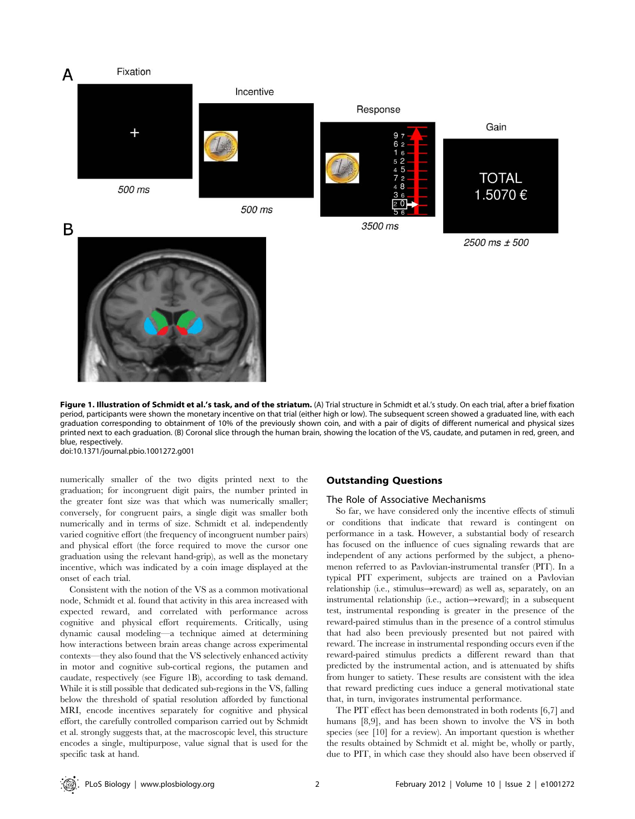

Figure 1. Illustration of Schmidt et al.'s task, and of the striatum. (A) Trial structure in Schmidt et al.'s study. On each trial, after a brief fixation period, participants were shown the monetary incentive on that trial (either high or low). The subsequent screen showed a graduated line, with each graduation corresponding to obtainment of 10% of the previously shown coin, and with a pair of digits of different numerical and physical sizes printed next to each graduation. (B) Coronal slice through the human brain, showing the location of the VS, caudate, and putamen in red, green, and blue, respectively.

doi:10.1371/journal.pbio.1001272.g001

numerically smaller of the two digits printed next to the graduation; for incongruent digit pairs, the number printed in the greater font size was that which was numerically smaller; conversely, for congruent pairs, a single digit was smaller both numerically and in terms of size. Schmidt et al. independently varied cognitive effort (the frequency of incongruent number pairs) and physical effort (the force required to move the cursor one graduation using the relevant hand-grip), as well as the monetary incentive, which was indicated by a coin image displayed at the onset of each trial.

Consistent with the notion of the VS as a common motivational node, Schmidt et al. found that activity in this area increased with expected reward, and correlated with performance across cognitive and physical effort requirements. Critically, using dynamic causal modeling—a technique aimed at determining how interactions between brain areas change across experimental contexts—they also found that the VS selectively enhanced activity in motor and cognitive sub-cortical regions, the putamen and caudate, respectively (see Figure 1B), according to task demand. While it is still possible that dedicated sub-regions in the VS, falling below the threshold of spatial resolution afforded by functional MRI, encode incentives separately for cognitive and physical effort, the carefully controlled comparison carried out by Schmidt et al. strongly suggests that, at the macroscopic level, this structure encodes a single, multipurpose, value signal that is used for the specific task at hand.

## Outstanding Questions

#### The Role of Associative Mechanisms

So far, we have considered only the incentive effects of stimuli or conditions that indicate that reward is contingent on performance in a task. However, a substantial body of research has focused on the influence of cues signaling rewards that are independent of any actions performed by the subject, a phenomenon referred to as Pavlovian-instrumental transfer (PIT). In a typical PIT experiment, subjects are trained on a Pavlovian relationship (i.e., stimulus->reward) as well as, separately, on an instrumental relationship (i.e., action $\rightarrow$ reward); in a subsequent test, instrumental responding is greater in the presence of the reward-paired stimulus than in the presence of a control stimulus that had also been previously presented but not paired with reward. The increase in instrumental responding occurs even if the reward-paired stimulus predicts a different reward than that predicted by the instrumental action, and is attenuated by shifts from hunger to satiety. These results are consistent with the idea that reward predicting cues induce a general motivational state that, in turn, invigorates instrumental performance.

The PIT effect has been demonstrated in both rodents [6,7] and humans [8,9], and has been shown to involve the VS in both species (see [10] for a review). An important question is whether the results obtained by Schmidt et al. might be, wholly or partly, due to PIT, in which case they should also have been observed if